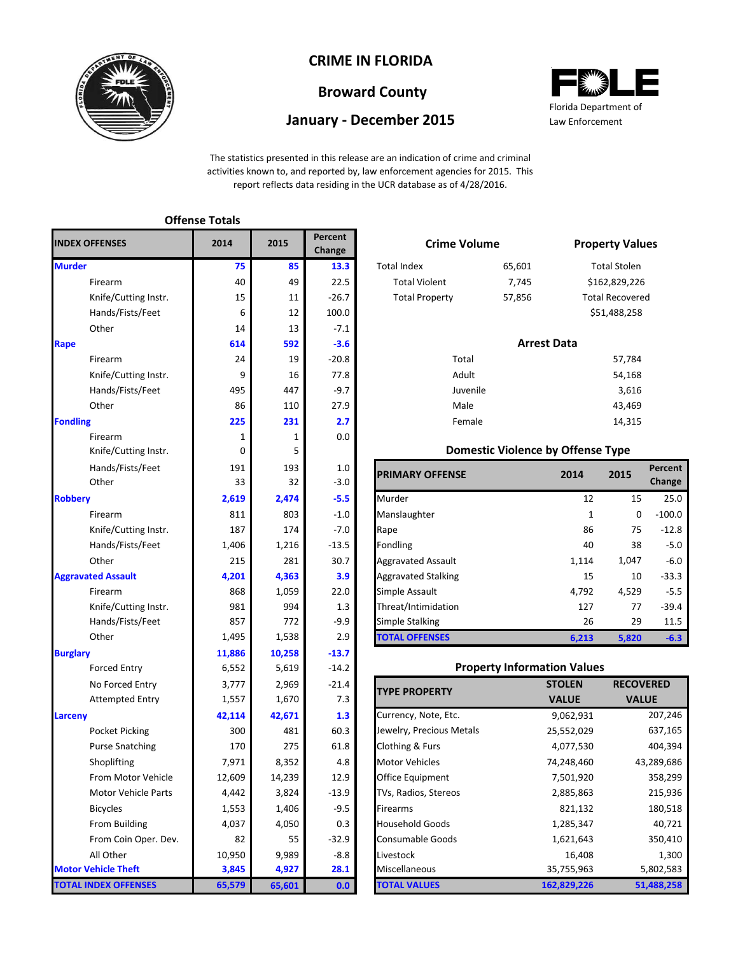

## **CRIME IN FLORIDA**

# **Broward County**

### **January - December 2015**



The statistics presented in this release are an indication of crime and criminal activities known to, and reported by, law enforcement agencies for 2015. This report reflects data residing in the UCR database as of 4/28/2016.

|                             | <b>Offense Totals</b> |        |                   |                            |                                          |                     |
|-----------------------------|-----------------------|--------|-------------------|----------------------------|------------------------------------------|---------------------|
| <b>INDEX OFFENSES</b>       | 2014                  | 2015   | Percent<br>Change | <b>Crime Volume</b>        |                                          | <b>Property Val</b> |
| <b>Murder</b>               | 75                    | 85     | 13.3              | <b>Total Index</b>         | 65,601                                   | <b>Total Stolen</b> |
| Firearm                     | 40                    | 49     | 22.5              | <b>Total Violent</b>       | 7,745                                    | \$162,829,22        |
| Knife/Cutting Instr.        | 15                    | 11     | $-26.7$           | <b>Total Property</b>      | 57,856                                   | Total Recover       |
| Hands/Fists/Feet            | 6                     | 12     | 100.0             |                            |                                          | \$51,488,258        |
| Other                       | 14                    | 13     | $-7.1$            |                            |                                          |                     |
| Rape                        | 614                   | 592    | $-3.6$            |                            | <b>Arrest Data</b>                       |                     |
| Firearm                     | 24                    | 19     | $-20.8$           | Total                      |                                          | 57,784              |
| Knife/Cutting Instr.        | 9                     | 16     | 77.8              | Adult                      |                                          | 54,168              |
| Hands/Fists/Feet            | 495                   | 447    | $-9.7$            | Juvenile                   |                                          | 3,616               |
| Other                       | 86                    | 110    | 27.9              | Male                       |                                          | 43,469              |
| <b>Fondling</b>             | 225                   | 231    | 2.7               | Female                     |                                          | 14,315              |
| Firearm                     | 1                     | 1      | 0.0               |                            |                                          |                     |
| Knife/Cutting Instr.        | 0                     | 5      |                   |                            | <b>Domestic Violence by Offense Type</b> |                     |
| Hands/Fists/Feet            | 191                   | 193    | 1.0               | <b>PRIMARY OFFENSE</b>     | 2014                                     | 2015                |
| Other                       | 33                    | 32     | $-3.0$            |                            |                                          |                     |
| <b>Robbery</b>              | 2,619                 | 2,474  | $-5.5$            | Murder                     | 12                                       | 15                  |
| Firearm                     | 811                   | 803    | $-1.0$            | Manslaughter               | $\mathbf{1}$                             | 0                   |
| Knife/Cutting Instr.        | 187                   | 174    | $-7.0$            | Rape                       | 86                                       | 75                  |
| Hands/Fists/Feet            | 1,406                 | 1,216  | $-13.5$           | Fondling                   | 40                                       | 38                  |
| Other                       | 215                   | 281    | 30.7              | <b>Aggravated Assault</b>  | 1,114                                    | 1,047               |
| <b>Aggravated Assault</b>   | 4,201                 | 4,363  | 3.9               | <b>Aggravated Stalking</b> | 15                                       | 10                  |
| Firearm                     | 868                   | 1,059  | 22.0              | Simple Assault             | 4,792                                    | 4,529               |
| Knife/Cutting Instr.        | 981                   | 994    | 1.3               | Threat/Intimidation        | 127                                      | 77                  |
| Hands/Fists/Feet            | 857                   | 772    | $-9.9$            | <b>Simple Stalking</b>     | 26                                       | 29                  |
| Other                       | 1,495                 | 1,538  | 2.9               | <b>TOTAL OFFENSES</b>      | 6,213                                    | 5,820               |
| <b>Burglary</b>             | 11,886                | 10,258 | $-13.7$           |                            |                                          |                     |
| <b>Forced Entry</b>         | 6,552                 | 5,619  | $-14.2$           |                            | <b>Property Information Values</b>       |                     |
| No Forced Entry             | 3,777                 | 2,969  | $-21.4$           | <b>TYPE PROPERTY</b>       | <b>STOLEN</b>                            | <b>RECO</b>         |
| <b>Attempted Entry</b>      | 1,557                 | 1,670  | 7.3               |                            | <b>VALUE</b>                             | <b>VAI</b>          |
| Larceny                     | 42,114                | 42,671 | 1.3               | Currency, Note, Etc.       | 9,062,931                                |                     |
| <b>Pocket Picking</b>       | 300                   | 481    | 60.3              | Jewelry, Precious Metals   | 25,552,029                               |                     |
| <b>Purse Snatching</b>      | 170                   | 275    | 61.8              | Clothing & Furs            | 4,077,530                                |                     |
| Shoplifting                 | 7,971                 | 8,352  | 4.8               | <b>Motor Vehicles</b>      | 74,248,460                               | 4                   |
| From Motor Vehicle          | 12,609                | 14,239 | 12.9              | Office Equipment           | 7,501,920                                |                     |
| Motor Vehicle Parts         | 4,442                 | 3,824  | $-13.9$           | TVs, Radios, Stereos       | 2,885,863                                |                     |
| <b>Bicycles</b>             | 1,553                 | 1,406  | $-9.5$            | Firearms                   | 821,132                                  |                     |
| From Building               | 4,037                 | 4,050  | 0.3               | <b>Household Goods</b>     | 1,285,347                                |                     |
| From Coin Oper. Dev.        | 82                    | 55     | $-32.9$           | <b>Consumable Goods</b>    | 1,621,643                                |                     |
| All Other                   | 10,950                | 9,989  | $-8.8$            | Livestock                  | 16,408                                   |                     |
| <b>Motor Vehicle Theft</b>  | 3,845                 | 4,927  | 28.1              | Miscellaneous              | 35,755,963                               |                     |
| <b>TOTAL INDEX OFFENSES</b> | 65,579                | 65,601 | 0.0               | <b>TOTAL VALUES</b>        | 162,829,226                              | 5                   |

| 5   | <b>Percent</b><br>Change | <b>Crime Volume</b>    |                                          | <b>Property Values</b> |                        |         |  |
|-----|--------------------------|------------------------|------------------------------------------|------------------------|------------------------|---------|--|
| 85  | 13.3                     | <b>Total Index</b>     | 65,601                                   |                        | <b>Total Stolen</b>    |         |  |
| 49  | 22.5                     | <b>Total Violent</b>   | 7,745                                    |                        | \$162,829,226          |         |  |
| 11  | $-26.7$                  | <b>Total Property</b>  | 57,856                                   |                        | <b>Total Recovered</b> |         |  |
| 12  | 100.0                    |                        |                                          |                        | \$51,488,258           |         |  |
| 13  | $-7.1$                   |                        |                                          |                        |                        |         |  |
| 592 | $-3.6$                   |                        | <b>Arrest Data</b>                       |                        |                        |         |  |
| 19  | $-20.8$                  | Total                  |                                          | 57,784                 |                        |         |  |
| 16  | 77.8                     | Adult                  |                                          | 54,168                 |                        |         |  |
| 447 | $-9.7$                   | Juvenile               |                                          | 3,616                  |                        |         |  |
| 110 | 27.9                     | Male                   |                                          | 43,469                 |                        |         |  |
| 231 | 2.7                      | Female                 |                                          |                        | 14,315                 |         |  |
| 1   | 0.0                      |                        |                                          |                        |                        |         |  |
| 5   |                          |                        | <b>Domestic Violence by Offense Type</b> |                        |                        |         |  |
| 193 | 1.0                      | <b>PRIMARY OFFENSE</b> |                                          | 2014                   | 2015                   | Percent |  |
| 32  | $-3.0$                   |                        |                                          |                        |                        | Change  |  |
|     |                          |                        |                                          |                        |                        |         |  |

|                      |       |       |         | <b>IPRIMARY OFFENSE</b>    | 2014  | 2015     |          |
|----------------------|-------|-------|---------|----------------------------|-------|----------|----------|
| Other                | 33    | 32    | $-3.0$  |                            |       |          | Change   |
|                      | 2,619 | 2,474 | $-5.5$  | Murder                     | 12    | 15       | 25.0     |
| Firearm              | 811   | 803   | $-1.0$  | Manslaughter               |       | $\Omega$ | $-100.0$ |
| Knife/Cutting Instr. | 187   | 174   | $-7.0$  | Rape                       | 86    | 75       | $-12.8$  |
| Hands/Fists/Feet     | 1,406 | 1,216 | $-13.5$ | Fondling                   | 40    | 38       | $-5.0$   |
| Other                | 215   | 281   | 30.7    | <b>Aggravated Assault</b>  | 1,114 | 1,047    | $-6.0$   |
| ted Assault          | 4,201 | 4,363 | 3.9     | <b>Aggravated Stalking</b> | 15    | 10       | $-33.3$  |
| Firearm              | 868   | 1,059 | 22.0    | Simple Assault             | 4,792 | 4,529    | $-5.5$   |
| Knife/Cutting Instr. | 981   | 994   | 1.3     | Threat/Intimidation        | 127   | 77       | $-39.4$  |
| Hands/Fists/Feet     | 857   | 772   | $-9.9$  | Simple Stalking            | 26    | 29       | 11.5     |
| Other                | 1,495 | 1,538 | 2.9     | <b>TOTAL OFFENSES</b>      | 6,213 | 5,820    | $-6.3$   |

#### **Property Information Values**

| <b>TYPE PROPERTY</b>     | <b>STOLEN</b> | <b>RECOVERED</b> |
|--------------------------|---------------|------------------|
|                          | <b>VALUE</b>  | <b>VALUE</b>     |
| Currency, Note, Etc.     | 9,062,931     | 207,246          |
| Jewelry, Precious Metals | 25,552,029    | 637,165          |
| Clothing & Furs          | 4,077,530     | 404,394          |
| <b>Motor Vehicles</b>    | 74,248,460    | 43,289,686       |
| <b>Office Equipment</b>  | 7,501,920     | 358,299          |
| TVs, Radios, Stereos     | 2,885,863     | 215,936          |
| <b>Firearms</b>          | 821,132       | 180,518          |
| <b>Household Goods</b>   | 1,285,347     | 40,721           |
| <b>Consumable Goods</b>  | 1,621,643     | 350,410          |
| Livestock                | 16,408        | 1,300            |
| Miscellaneous            | 35,755,963    | 5,802,583        |
| <b>TOTAL VALUES</b>      | 162,829,226   | 51,488,258       |